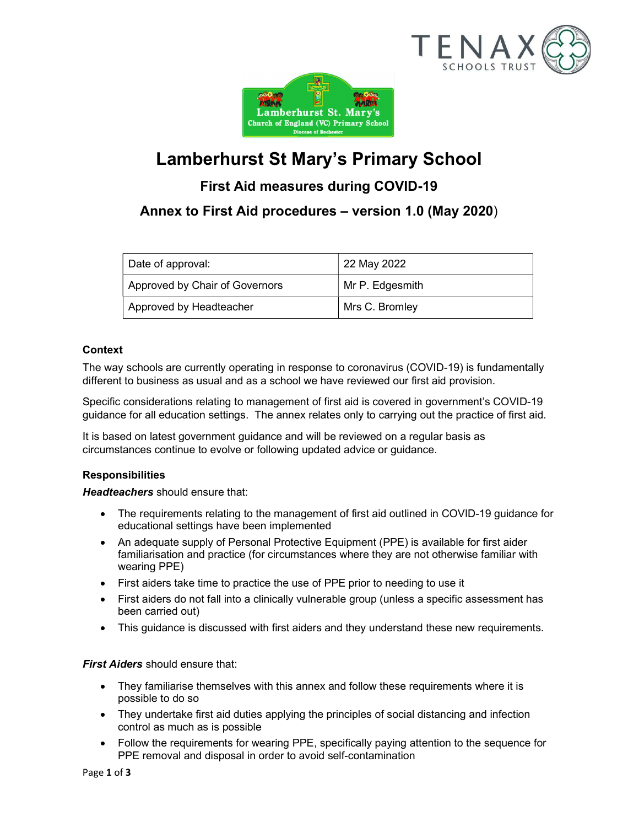



# Lamberhurst St Mary's Primary School

# First Aid measures during COVID-19

# Annex to First Aid procedures – version 1.0 (May 2020)

| Date of approval:              | 22 May 2022     |
|--------------------------------|-----------------|
| Approved by Chair of Governors | Mr P. Edgesmith |
| Approved by Headteacher        | Mrs C. Bromley  |

### **Context**

The way schools are currently operating in response to coronavirus (COVID-19) is fundamentally different to business as usual and as a school we have reviewed our first aid provision.

Specific considerations relating to management of first aid is covered in government's COVID-19 guidance for all education settings. The annex relates only to carrying out the practice of first aid.

It is based on latest government guidance and will be reviewed on a regular basis as circumstances continue to evolve or following updated advice or guidance.

#### Responsibilities

Headteachers should ensure that:

- The requirements relating to the management of first aid outlined in COVID-19 guidance for educational settings have been implemented
- An adequate supply of Personal Protective Equipment (PPE) is available for first aider familiarisation and practice (for circumstances where they are not otherwise familiar with wearing PPE)
- First aiders take time to practice the use of PPE prior to needing to use it
- First aiders do not fall into a clinically vulnerable group (unless a specific assessment has been carried out)
- This guidance is discussed with first aiders and they understand these new requirements.

**First Aiders** should ensure that:

- They familiarise themselves with this annex and follow these requirements where it is possible to do so
- They undertake first aid duties applying the principles of social distancing and infection control as much as is possible
- Follow the requirements for wearing PPE, specifically paying attention to the sequence for PPE removal and disposal in order to avoid self-contamination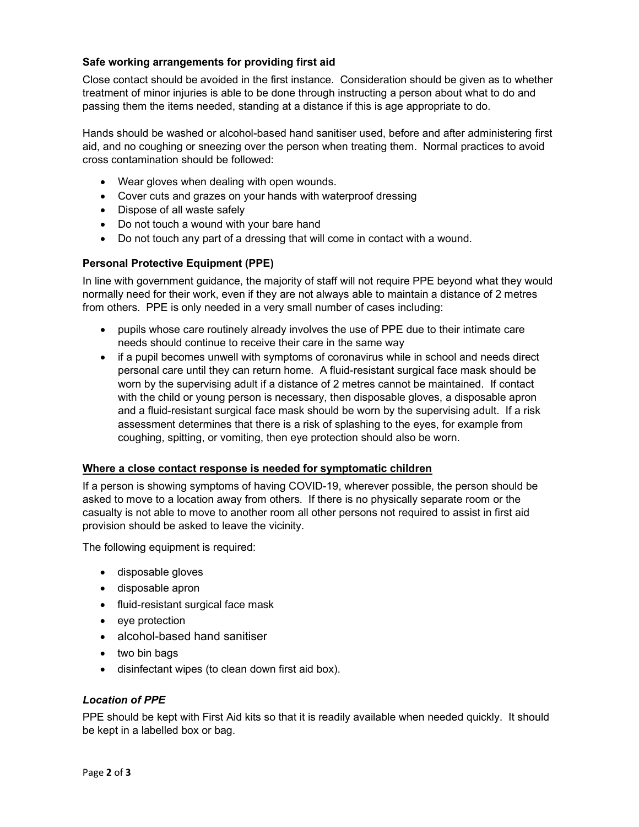#### Safe working arrangements for providing first aid

Close contact should be avoided in the first instance. Consideration should be given as to whether treatment of minor injuries is able to be done through instructing a person about what to do and passing them the items needed, standing at a distance if this is age appropriate to do.

Hands should be washed or alcohol-based hand sanitiser used, before and after administering first aid, and no coughing or sneezing over the person when treating them. Normal practices to avoid cross contamination should be followed:

- Wear gloves when dealing with open wounds.
- Cover cuts and grazes on your hands with waterproof dressing
- Dispose of all waste safely
- Do not touch a wound with your bare hand
- Do not touch any part of a dressing that will come in contact with a wound.

#### Personal Protective Equipment (PPE)

In line with government guidance, the majority of staff will not require PPE beyond what they would normally need for their work, even if they are not always able to maintain a distance of 2 metres from others. PPE is only needed in a very small number of cases including:

- pupils whose care routinely already involves the use of PPE due to their intimate care needs should continue to receive their care in the same way
- if a pupil becomes unwell with symptoms of coronavirus while in school and needs direct personal care until they can return home. A fluid-resistant surgical face mask should be worn by the supervising adult if a distance of 2 metres cannot be maintained. If contact with the child or young person is necessary, then disposable gloves, a disposable apron and a fluid-resistant surgical face mask should be worn by the supervising adult. If a risk assessment determines that there is a risk of splashing to the eyes, for example from coughing, spitting, or vomiting, then eye protection should also be worn.

#### Where a close contact response is needed for symptomatic children

If a person is showing symptoms of having COVID-19, wherever possible, the person should be asked to move to a location away from others. If there is no physically separate room or the casualty is not able to move to another room all other persons not required to assist in first aid provision should be asked to leave the vicinity.

The following equipment is required:

- disposable gloves
- disposable apron
- fluid-resistant surgical face mask
- eye protection
- alcohol-based hand sanitiser
- two bin bags
- disinfectant wipes (to clean down first aid box).

#### Location of PPE

PPE should be kept with First Aid kits so that it is readily available when needed quickly. It should be kept in a labelled box or bag.